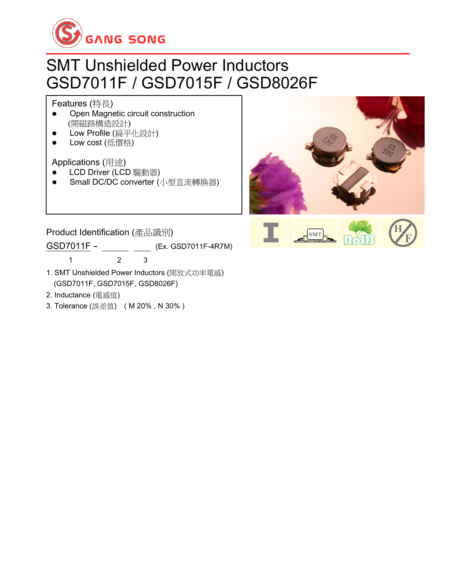

# SMT Unshielded Power Inductors GSD7011F / GSD7015F / GSD8026F

#### Features (特長)

- ⚫ Open Magnetic circuit construction (開磁路構造設計)
- Low Profile (扁平化設計)
- Low cost (低價格)

Applications (用途)

- LCD Driver (LCD 驅動器)
- Small DC/DC converter (小型直流轉換器)



Product Identification (產品識別) GSD7011F - (Ex. GSD7011F-4R7M) 1 2 3

- 1. SMT Unshielded Power Inductors (開放式功率電感) (GSD7011F, GSD7015F, GSD8026F)
- 2. Inductance (電感值)
- 3. Tolerance (誤差值) ( M 20% , N 30% )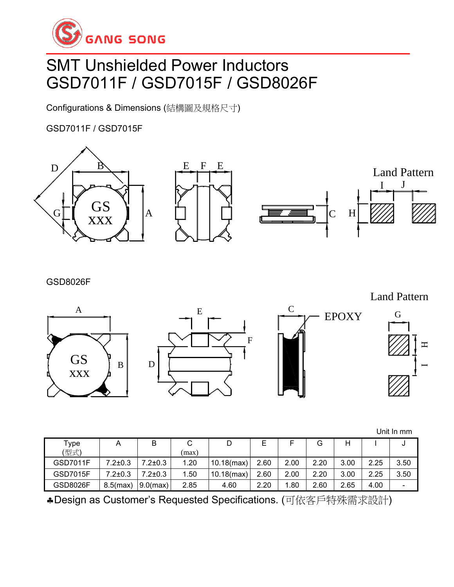

# SMT Unshielded Power Inductors GSD7011F / GSD7015F / GSD8026F

Configurations & Dimensions (結構圖及規格尺寸)

GSD7011F / GSD7015F



GSD8026F

Land Pattern

G

H.

 $\blacksquare$ 



Unit In mm

| Type            |             |               |       |               |      |      |      |      |      | υ    |
|-----------------|-------------|---------------|-------|---------------|------|------|------|------|------|------|
| (型式)            |             |               | (max) |               |      |      |      |      |      |      |
| <b>GSD7011F</b> | 7.2±0.3     | $7.2 \pm 0.3$ | 1.20  | $10.18$ (max) | 2.60 | 2.00 | 2.20 | 3.00 | 2.25 | 3.50 |
| <b>GSD7015F</b> | 7.2±0.3     | $7.2 \pm 0.3$ | 1.50  | $10.18$ (max) | 2.60 | 2.00 | 2.20 | 3.00 | 2.25 | 3.50 |
| <b>GSD8026F</b> | $8.5$ (max) | $9.0$ (max)   | 2.85  | 4.60          | 2.20 | .80  | 2.60 | 2.65 | 4.00 |      |

Design as Customer's Requested Specifications. (可依客戶特殊需求設計)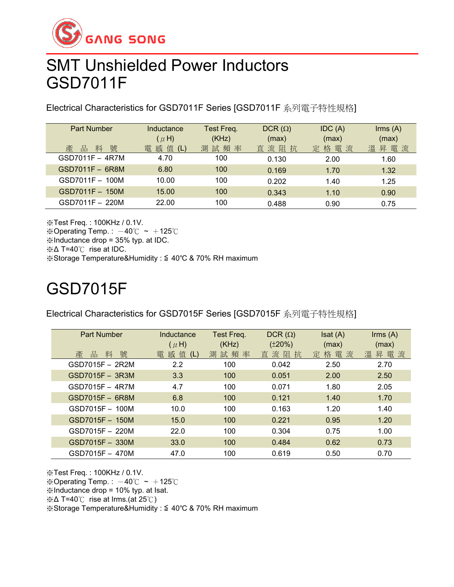

### SMT Unshielded Power Inductors GSD7011F

Electrical Characteristics for GSD7011F Series [GSD7011F 系列電子特性規格]

| <b>Part Number</b><br>號<br>料<br>品<br>產 | Inductance<br>$(\mu H)$<br>值<br>感<br>雷<br>(L) | Test Freq.<br>(KHz)<br>測試頻率 | DCR $(\Omega)$<br>(max)<br>直流阻抗 | IDC(A)<br>(max)<br>格電流<br>定 | $\mathsf{lrms}(\mathsf{A})$<br>(max)<br>昇電流<br>溫 |
|----------------------------------------|-----------------------------------------------|-----------------------------|---------------------------------|-----------------------------|--------------------------------------------------|
| GSD7011F - 4R7M                        | 4.70                                          | 100                         | 0.130                           | 2.00                        | 1.60                                             |
| GSD7011F - 6R8M                        | 6.80                                          | 100                         | 0.169                           | 1.70                        | 1.32                                             |
| GSD7011F - 100M                        | 10.00                                         | 100                         | 0.202                           | 1.40                        | 1.25                                             |
| GSD7011F - 150M                        | 15.00                                         | 100                         | 0.343                           | 1.10                        | 0.90                                             |
| GSD7011F - 220M                        | 22.00                                         | 100                         | 0.488                           | 0.90                        | 0.75                                             |

※Test Freq. : 100KHz / 0.1V. ※Operating Temp.:  $-40^{\circ}$ C ~  $+125^{\circ}$ C ※Inductance drop = 35% typ. at IDC. ※Δ T=40℃ rise at IDC. ※Storage Temperature&Humidity : ≦ 40℃ & 70% RH maximum

# GSD7015F

Electrical Characteristics for GSD7015F Series [GSD7015F 系列電子特性規格]

| <b>Part Number</b> | Inductance<br>$(\mu H)$ | Test Freq.<br>(KHz) | DCR $(\Omega)$<br>$(\pm 20\%)$ | Isat(A)<br>(max) | $\mathsf{lrms}(\mathsf{A})$<br>(max) |
|--------------------|-------------------------|---------------------|--------------------------------|------------------|--------------------------------------|
| 號<br>產<br>料<br>品   | 電 感 值 (L)               | 測試頻率                | 直流阻抗                           | 定格電流             | 昇電流<br>溫                             |
| GSD7015F - 2R2M    | 2.2                     | 100                 | 0.042                          | 2.50             | 2.70                                 |
| GSD7015F - 3R3M    | 3.3                     | 100                 | 0.051                          | 2.00             | 2.50                                 |
| $GSD7015F - 4R7M$  | 4.7                     | 100                 | 0.071                          | 1.80             | 2.05                                 |
| $GSD7015F - 6R8M$  | 6.8                     | 100                 | 0.121                          | 1.40             | 1.70                                 |
| GSD7015F - 100M    | 10.0                    | 100                 | 0.163                          | 1.20             | 1.40                                 |
| GSD7015F - 150M    | 15.0                    | 100                 | 0.221                          | 0.95             | 1.20                                 |
| GSD7015F - 220M    | 22.0                    | 100                 | 0.304                          | 0.75             | 1.00                                 |
| GSD7015F - 330M    | 33.0                    | 100                 | 0.484                          | 0.62             | 0.73                                 |
| GSD7015F - 470M    | 47.0                    | 100                 | 0.619                          | 0.50             | 0.70                                 |

※Test Freq. : 100KHz / 0.1V. ※Operating Temp.:  $-40^{\circ}$ C ~  $+125^{\circ}$ C ※Inductance drop = 10% typ. at Isat. ※Δ T=40℃ rise at Irms.(at 25℃) ※Storage Temperature&Humidity : ≦ 40℃ & 70% RH maximum